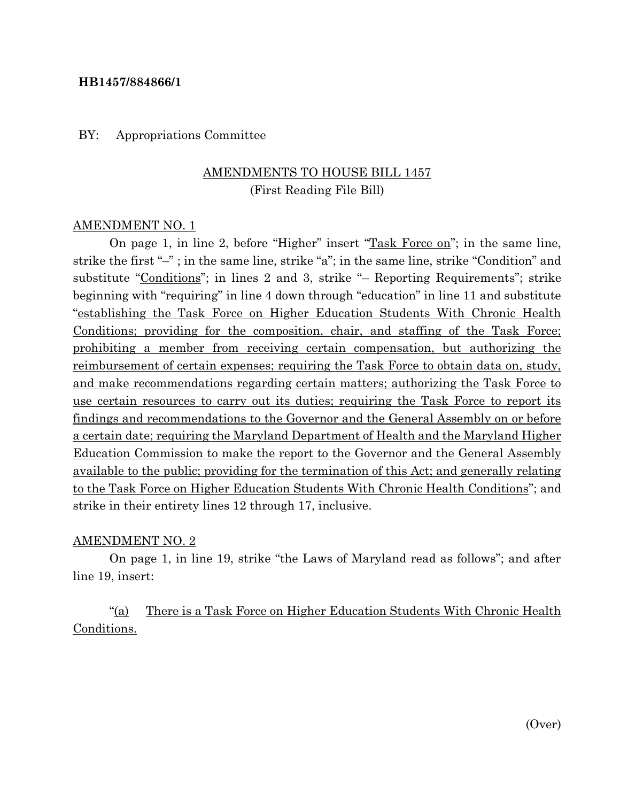### **HB1457/884866/1**

#### BY: Appropriations Committee

# AMENDMENTS TO HOUSE BILL 1457 (First Reading File Bill)

#### AMENDMENT NO. 1

On page 1, in line 2, before "Higher" insert "Task Force on"; in the same line, strike the first "–" ; in the same line, strike "a"; in the same line, strike "Condition" and substitute "Conditions"; in lines 2 and 3, strike "– Reporting Requirements"; strike beginning with "requiring" in line 4 down through "education" in line 11 and substitute "establishing the Task Force on Higher Education Students With Chronic Health Conditions; providing for the composition, chair, and staffing of the Task Force; prohibiting a member from receiving certain compensation, but authorizing the reimbursement of certain expenses; requiring the Task Force to obtain data on, study, and make recommendations regarding certain matters; authorizing the Task Force to use certain resources to carry out its duties; requiring the Task Force to report its findings and recommendations to the Governor and the General Assembly on or before a certain date; requiring the Maryland Department of Health and the Maryland Higher Education Commission to make the report to the Governor and the General Assembly available to the public; providing for the termination of this Act; and generally relating to the Task Force on Higher Education Students With Chronic Health Conditions"; and strike in their entirety lines 12 through 17, inclusive.

### AMENDMENT NO. 2

On page 1, in line 19, strike "the Laws of Maryland read as follows"; and after line 19, insert:

"(a) There is a Task Force on Higher Education Students With Chronic Health Conditions.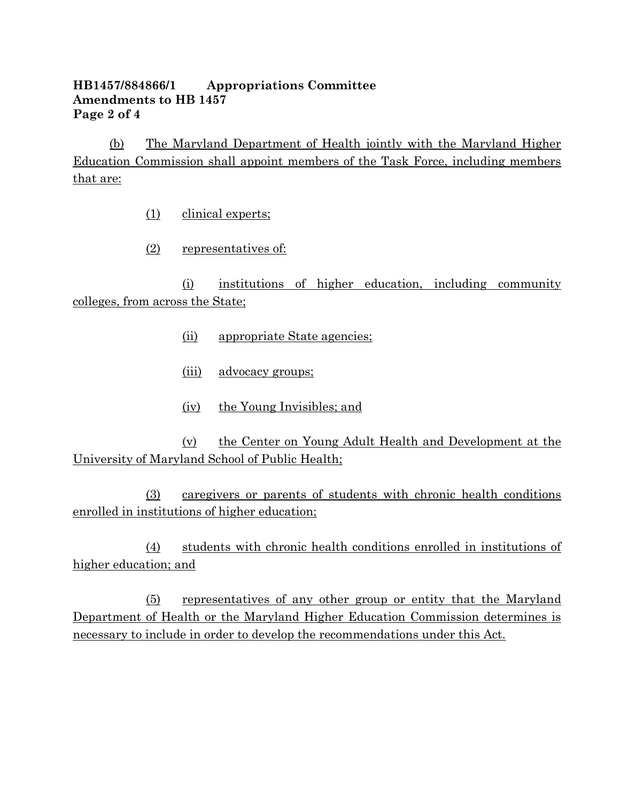## **HB1457/884866/1 Appropriations Committee Amendments to HB 1457 Page 2 of 4**

(b) The Maryland Department of Health jointly with the Maryland Higher Education Commission shall appoint members of the Task Force, including members that are:

- (1) clinical experts;
- (2) representatives of:

(i) institutions of higher education, including community colleges, from across the State;

- (ii) appropriate State agencies;
- (iii) advocacy groups;
- (iv) the Young Invisibles; and

(v) the Center on Young Adult Health and Development at the University of Maryland School of Public Health;

(3) caregivers or parents of students with chronic health conditions enrolled in institutions of higher education;

(4) students with chronic health conditions enrolled in institutions of higher education; and

(5) representatives of any other group or entity that the Maryland Department of Health or the Maryland Higher Education Commission determines is necessary to include in order to develop the recommendations under this Act.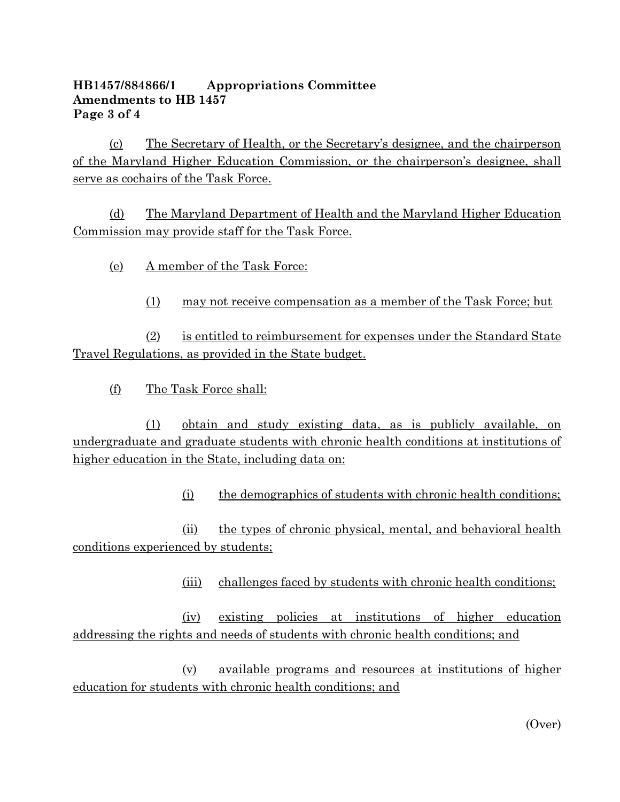## **HB1457/884866/1 Appropriations Committee Amendments to HB 1457 Page 3 of 4**

(c) The Secretary of Health, or the Secretary's designee, and the chairperson of the Maryland Higher Education Commission, or the chairperson's designee, shall serve as cochairs of the Task Force.

(d) The Maryland Department of Health and the Maryland Higher Education Commission may provide staff for the Task Force.

- (e) A member of the Task Force:
	- (1) may not receive compensation as a member of the Task Force; but

(2) is entitled to reimbursement for expenses under the Standard State Travel Regulations, as provided in the State budget.

(f) The Task Force shall:

(1) obtain and study existing data, as is publicly available, on undergraduate and graduate students with chronic health conditions at institutions of higher education in the State, including data on:

(i) the demographics of students with chronic health conditions;

(ii) the types of chronic physical, mental, and behavioral health conditions experienced by students;

(iii) challenges faced by students with chronic health conditions;

(iv) existing policies at institutions of higher education addressing the rights and needs of students with chronic health conditions; and

(v) available programs and resources at institutions of higher education for students with chronic health conditions; and

(Over)